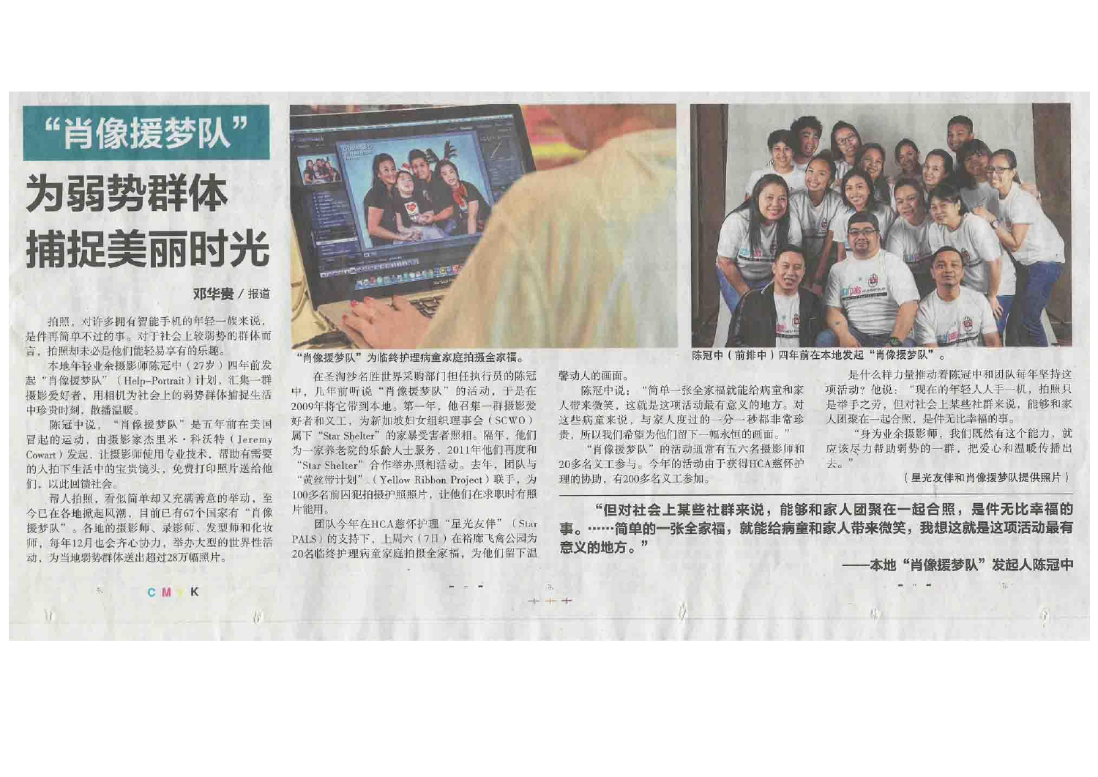# "肖像援梦队"

# 为弱势群体 捕捉美丽时光

## 邓华贵 / 报道

拍照, 对许多拥有智能手机的年轻一族来说, 是件再简单不过的事。对于社会上较弱势的群体而 言,拍照却未必是他们能轻易享有的乐趣。

本地年轻业余摄影师陈冠中(27岁)四年前发 起"肖像援梦队" (Help-Portrait) 计划, 汇集一群 摄影爱好者,用相机为社会上的弱势群体捕捉生活 中珍贵时刻、散播温暖。

陈冠中说, "肖像援梦队"是五年前在美国 冒起的运动, 由摄影家杰里米·科沃特(Jeremy Cowart) 发起, 让摄影师使用专业技术, 帮助有需要 的人拍下生活中的宝贵镜头, 免费打印照片送给他 们,以此回馈社会。

帮人拍照,看似简单却又充满善意的举动,至 今已在各地掀起风潮,目前已有67个国家有"肖像 援梦队"。各地的摄影师、录影师、发型师和化妆 师, 每年12月也会齐心协力, 举办大型的世界性活 动,为当地弱势群体送出超过28万幅照片。



#### "肖像援梦队"为临终护理病童家庭拍摄全家福。

在圣淘沙名胜世界采购部门担任执行员的陈冠 中, 几年前听说"肖像援梦队"的活动。于是在 2009年将它带到本地。第一年,他召集一群摄影爱 好者和义工,为新加坡妇女组织理事会(SCWO) 属下"Star Shelter"的家暴受害者照相。隔年, 他们 为一家养老院的乐龄人十服务, 2011年他们再度和 "Star Shelter"合作举办照相活动。去年, 团队与 "黄丝带计划" (Yellow Ribbon Project) 联手, 为 100多名前因犯拍摄护照照片, 让他们在求职时有照 片能用。

团队今年在HCA慈怀护理"星光友伴"(Star PALS) 的支持下, 上周六(7日) 在裕廊飞禽公园为 20名临终护理病童家庭拍摄全家福,为他们留下温

# 馨动人的画面。

陈冠中说: "简单一张全家福就能给病童和家 人带来微笑, 这就是这项活动最有意义的地方。对 这些病童来说,与家人度过的一分一秒都非常珍 贵,所以我们希望为他们留下一幅永恒的画面。"

"肖像援梦队"的活动通常有五六名摄影师和 20多名义工参与。今年的活动由于获得HCA慈怀护 理的协助,有200多名义工参加。

"但对社会上某些社群来说,能够和家人团聚在一起合照,是件无比幸福的 事。……简单的一张全家福,就能给病童和家人带来微笑,我想这就是这项活动最有 意义的地方。"

CM K

陈冠中(前排中)四年前在本地发起"肖像援梦队"。

是什么样力量推动着陈冠中和团队每年坚持这 项活动?他说: "现在的年轻人人手一机, 拍照只 是举手之劳, 但对社会上某些社群来说, 能够和家 人团聚在一起合照, 是件无比幸福的事。

"身为业余摄影师, 我们既然有这个能力, 就 应该尽力帮助弱势的一群, 把爱心和温暖传播出 夫。"

(星光友伴和肖像援梦队提供照片)

本地"肖像援梦队"发起人陈冠中